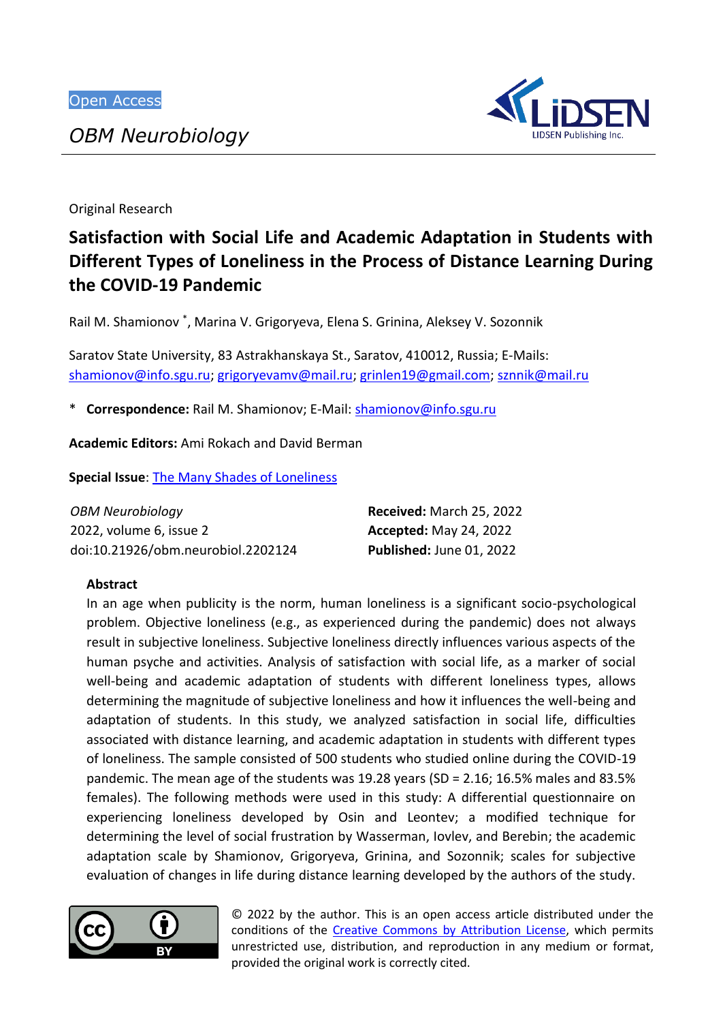*OBM Neurobiology*



Original Research

# **Satisfaction with Social Life and Academic Adaptation in Students with Different Types of Loneliness in the Process of Distance Learning During the COVID-19 Pandemic**

Rail M. Shamionov \* , Marina V. Grigoryeva, Elena S. Grinina, Aleksey V. Sozonnik

Saratov State University, 83 Astrakhanskaya St., Saratov, 410012, Russia; E-Mails: [shamionov@info.sgu.ru;](mailto:shamionov@info.sgu.ru) [grigoryevamv@mail.ru;](mailto:grigoryevamv@mail.ru) [grinlen19@gmail.com;](mailto:grinlen19@gmail.com) [sznnik@mail.ru](mailto:sznnik@mail.ru)

\* **Correspondence:** Rail M. Shamionov; E-Mail: [shamionov@info.sgu.ru](mailto:shamionov@info.sgu.ru)

**Academic Editors:** Ami Rokach and David Berman

**Special Issue**: [The Many Shades of Loneliness](https://www.lidsen.com/journals/neurobiology/neurobiology-special-issues/many-shades-loneliness)

| OBM Neurobiology                   | <b>Received: March 25, 2022</b> |
|------------------------------------|---------------------------------|
| 2022, volume 6, issue 2            | <b>Accepted: May 24, 2022</b>   |
| doi:10.21926/obm.neurobiol.2202124 | Published: June 01, 2022        |

# **Abstract**

In an age when publicity is the norm, human loneliness is a significant socio-psychological problem. Objective loneliness (e.g., as experienced during the pandemic) does not always result in subjective loneliness. Subjective loneliness directly influences various aspects of the human psyche and activities. Analysis of satisfaction with social life, as a marker of social well-being and academic adaptation of students with different loneliness types, allows determining the magnitude of subjective loneliness and how it influences the well-being and adaptation of students. In this study, we analyzed satisfaction in social life, difficulties associated with distance learning, and academic adaptation in students with different types of loneliness. The sample consisted of 500 students who studied online during the COVID-19 pandemic. The mean age of the students was 19.28 years (SD = 2.16; 16.5% males and 83.5% females). The following methods were used in this study: A differential questionnaire on experiencing loneliness developed by Osin and Leontev; a modified technique for determining the level of social frustration by Wasserman, Iovlev, and Berebin; the academic adaptation scale by Shamionov, Grigoryeva, Grinina, and Sozonnik; scales for subjective evaluation of changes in life during distance learning developed by the authors of the study.



© 2022 by the author. This is an open access article distributed under the conditions of the [Creative Commons by Attribution License,](http://creativecommons.org/licenses/by/4.0/) which permits unrestricted use, distribution, and reproduction in any medium or format, provided the original work is correctly cited.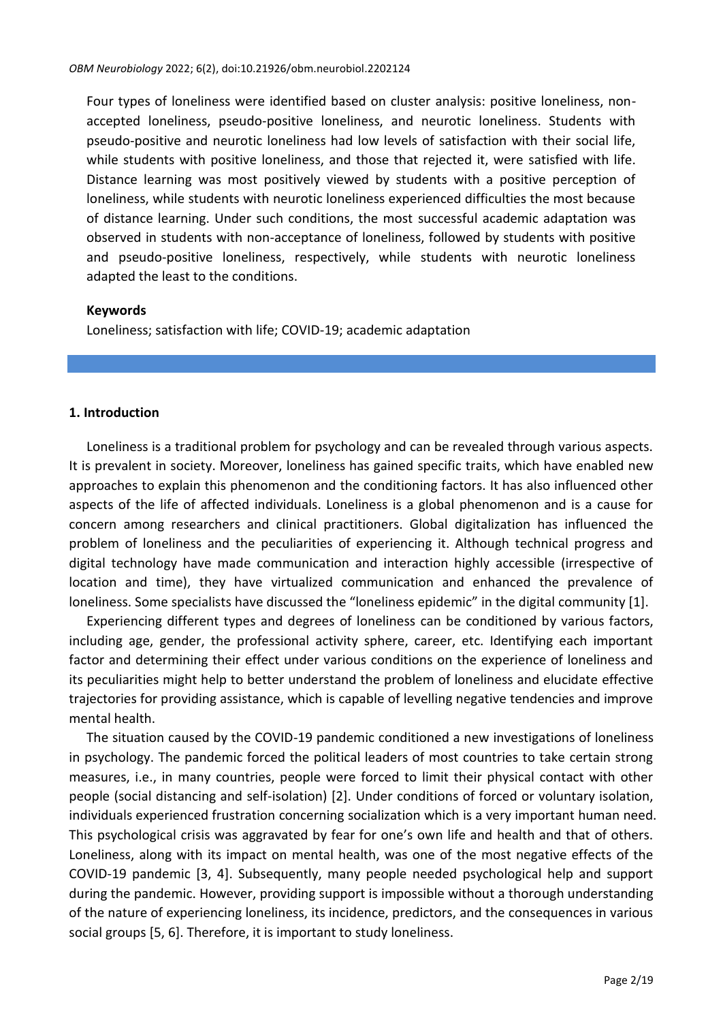Four types of loneliness were identified based on cluster analysis: positive loneliness, nonaccepted loneliness, pseudo-positive loneliness, and neurotic loneliness. Students with pseudo-positive and neurotic loneliness had low levels of satisfaction with their social life, while students with positive loneliness, and those that rejected it, were satisfied with life. Distance learning was most positively viewed by students with a positive perception of loneliness, while students with neurotic loneliness experienced difficulties the most because of distance learning. Under such conditions, the most successful academic adaptation was observed in students with non-acceptance of loneliness, followed by students with positive and pseudo-positive loneliness, respectively, while students with neurotic loneliness adapted the least to the conditions.

### **Keywords**

Loneliness; satisfaction with life; COVID-19; academic adaptation

### **1. Introduction**

Loneliness is a traditional problem for psychology and can be revealed through various aspects. It is prevalent in society. Moreover, loneliness has gained specific traits, which have enabled new approaches to explain this phenomenon and the conditioning factors. It has also influenced other aspects of the life of affected individuals. Loneliness is a global phenomenon and is a cause for concern among researchers and clinical practitioners. Global digitalization has influenced the problem of loneliness and the peculiarities of experiencing it. Although technical progress and digital technology have made communication and interaction highly accessible (irrespective of location and time), they have virtualized communication and enhanced the prevalence of loneliness. Some specialists have discussed the "loneliness epidemic" in the digital community [1].

Experiencing different types and degrees of loneliness can be conditioned by various factors, including age, gender, the professional activity sphere, career, etc. Identifying each important factor and determining their effect under various conditions on the experience of loneliness and its peculiarities might help to better understand the problem of loneliness and elucidate effective trajectories for providing assistance, which is capable of levelling negative tendencies and improve mental health.

The situation caused by the COVID-19 pandemic conditioned a new investigations of loneliness in psychology. The pandemic forced the political leaders of most countries to take certain strong measures, i.e., in many countries, people were forced to limit their physical contact with other people (social distancing and self-isolation) [2]. Under conditions of forced or voluntary isolation, individuals experienced frustration concerning socialization which is a very important human need. This psychological crisis was aggravated by fear for one's own life and health and that of others. Loneliness, along with its impact on mental health, was one of the most negative effects of the COVID-19 pandemic [3, 4]. Subsequently, many people needed psychological help and support during the pandemic. However, providing support is impossible without a thorough understanding of the nature of experiencing loneliness, its incidence, predictors, and the consequences in various social groups [5, 6]. Therefore, it is important to study loneliness.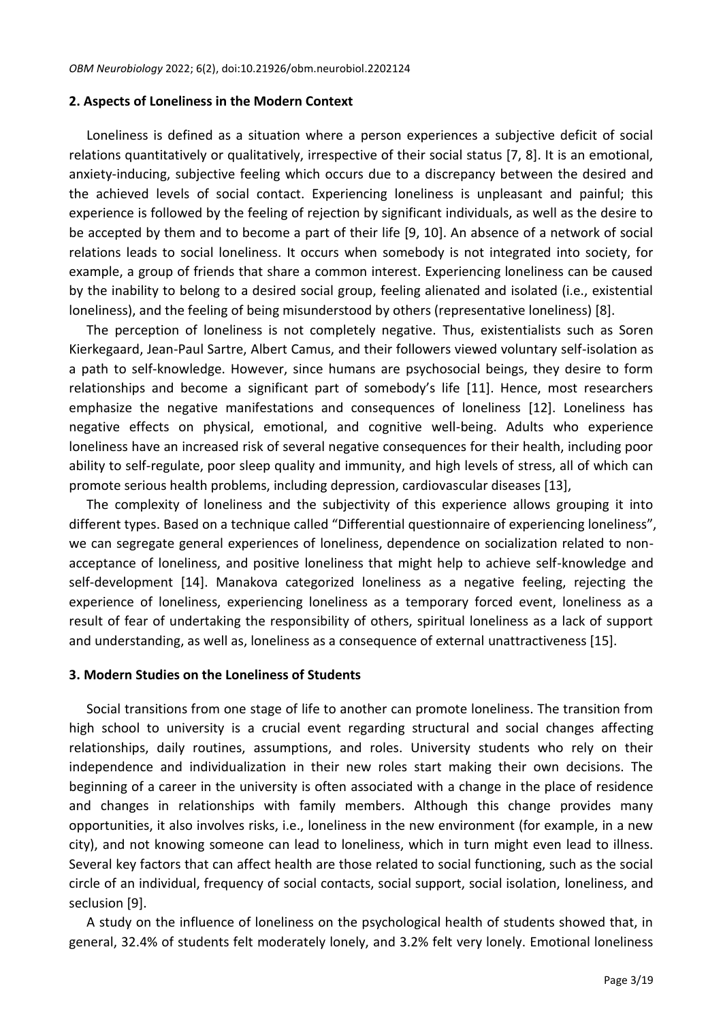#### **2. Aspects of Loneliness in the Modern Context**

Loneliness is defined as a situation where a person experiences a subjective deficit of social relations quantitatively or qualitatively, irrespective of their social status [7, 8]. It is an emotional, anxiety-inducing, subjective feeling which occurs due to a discrepancy between the desired and the achieved levels of social contact. Experiencing loneliness is unpleasant and painful; this experience is followed by the feeling of rejection by significant individuals, as well as the desire to be accepted by them and to become a part of their life [9, 10]. An absence of a network of social relations leads to social loneliness. It occurs when somebody is not integrated into society, for example, a group of friends that share a common interest. Experiencing loneliness can be caused by the inability to belong to a desired social group, feeling alienated and isolated (i.e., existential loneliness), and the feeling of being misunderstood by others (representative loneliness) [8].

The perception of loneliness is not completely negative. Thus, existentialists such as Soren Kierkegaard, Jean-Paul Sartre, Albert Camus, and their followers viewed voluntary self-isolation as a path to self-knowledge. However, since humans are psychosocial beings, they desire to form relationships and become a significant part of somebody's life [11]. Hence, most researchers emphasize the negative manifestations and consequences of loneliness [12]. Loneliness has negative effects on physical, emotional, and cognitive well-being. Adults who experience loneliness have an increased risk of several negative consequences for their health, including poor ability to self-regulate, poor sleep quality and immunity, and high levels of stress, all of which can promote serious health problems, including depression, cardiovascular diseases [13],

The complexity of loneliness and the subjectivity of this experience allows grouping it into different types. Based on a technique called "Differential questionnaire of experiencing loneliness", we can segregate general experiences of loneliness, dependence on socialization related to nonacceptance of loneliness, and positive loneliness that might help to achieve self-knowledge and self-development [14]. Manakova categorized loneliness as a negative feeling, rejecting the experience of loneliness, experiencing loneliness as a temporary forced event, loneliness as a result of fear of undertaking the responsibility of others, spiritual loneliness as a lack of support and understanding, as well as, loneliness as a consequence of external unattractiveness [15].

#### **3. Modern Studies on the Loneliness of Students**

Social transitions from one stage of life to another can promote loneliness. The transition from high school to university is a crucial event regarding structural and social changes affecting relationships, daily routines, assumptions, and roles. University students who rely on their independence and individualization in their new roles start making their own decisions. The beginning of a career in the university is often associated with a change in the place of residence and changes in relationships with family members. Although this change provides many opportunities, it also involves risks, i.e., loneliness in the new environment (for example, in a new city), and not knowing someone can lead to loneliness, which in turn might even lead to illness. Several key factors that can affect health are those related to social functioning, such as the social circle of an individual, frequency of social contacts, social support, social isolation, loneliness, and seclusion [9].

A study on the influence of loneliness on the psychological health of students showed that, in general, 32.4% of students felt moderately lonely, and 3.2% felt very lonely. Emotional loneliness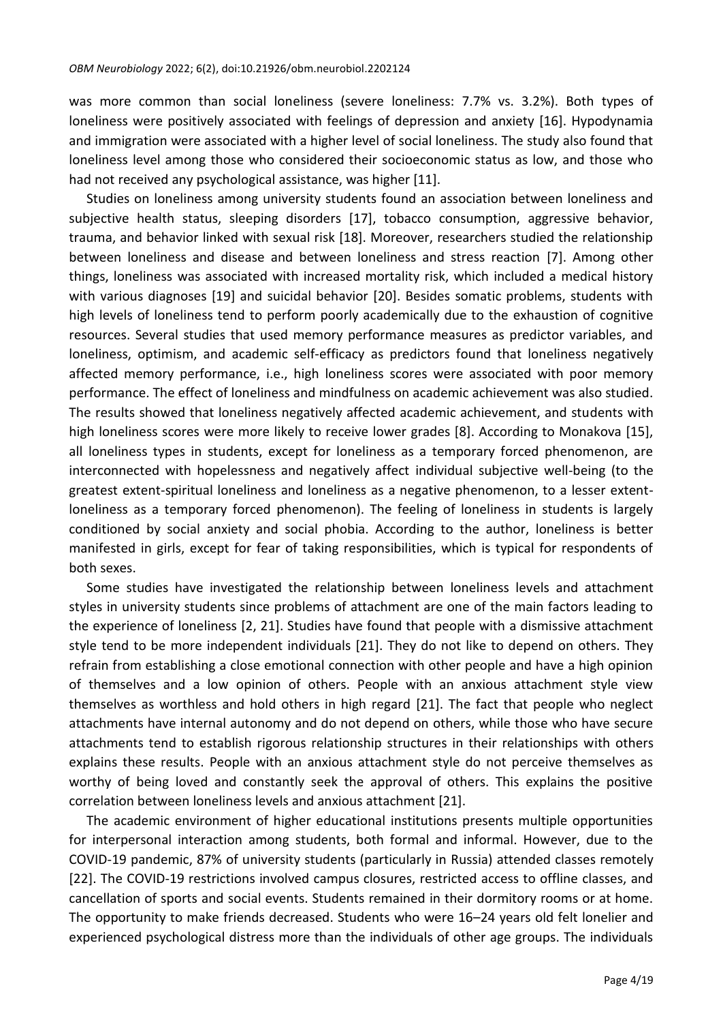was more common than social loneliness (severe loneliness: 7.7% vs. 3.2%). Both types of loneliness were positively associated with feelings of depression and anxiety [16]. Hypodynamia and immigration were associated with a higher level of social loneliness. The study also found that loneliness level among those who considered their socioeconomic status as low, and those who had not received any psychological assistance, was higher [11].

Studies on loneliness among university students found an association between loneliness and subjective health status, sleeping disorders [17], tobacco consumption, aggressive behavior, trauma, and behavior linked with sexual risk [18]. Moreover, researchers studied the relationship between loneliness and disease and between loneliness and stress reaction [7]. Among other things, loneliness was associated with increased mortality risk, which included a medical history with various diagnoses [19] and suicidal behavior [20]. Besides somatic problems, students with high levels of loneliness tend to perform poorly academically due to the exhaustion of cognitive resources. Several studies that used memory performance measures as predictor variables, and loneliness, optimism, and academic self-efficacy as predictors found that loneliness negatively affected memory performance, i.e., high loneliness scores were associated with poor memory performance. The effect of loneliness and mindfulness on academic achievement was also studied. The results showed that loneliness negatively affected academic achievement, and students with high loneliness scores were more likely to receive lower grades [8]. According to Monakova [15], all loneliness types in students, except for loneliness as a temporary forced phenomenon, are interconnected with hopelessness and negatively affect individual subjective well-being (to the greatest extent-spiritual loneliness and loneliness as a negative phenomenon, to a lesser extentloneliness as a temporary forced phenomenon). The feeling of loneliness in students is largely conditioned by social anxiety and social phobia. According to the author, loneliness is better manifested in girls, except for fear of taking responsibilities, which is typical for respondents of both sexes.

Some studies have investigated the relationship between loneliness levels and attachment styles in university students since problems of attachment are one of the main factors leading to the experience of loneliness [2, 21]. Studies have found that people with a dismissive attachment style tend to be more independent individuals [21]. They do not like to depend on others. They refrain from establishing a close emotional connection with other people and have a high opinion of themselves and a low opinion of others. People with an anxious attachment style view themselves as worthless and hold others in high regard [21]. The fact that people who neglect attachments have internal autonomy and do not depend on others, while those who have secure attachments tend to establish rigorous relationship structures in their relationships with others explains these results. People with an anxious attachment style do not perceive themselves as worthy of being loved and constantly seek the approval of others. This explains the positive correlation between loneliness levels and anxious attachment [21].

The academic environment of higher educational institutions presents multiple opportunities for interpersonal interaction among students, both formal and informal. However, due to the COVID-19 pandemic, 87% of university students (particularly in Russia) attended classes remotely [22]. The COVID-19 restrictions involved campus closures, restricted access to offline classes, and cancellation of sports and social events. Students remained in their dormitory rooms or at home. The opportunity to make friends decreased. Students who were 16–24 years old felt lonelier and experienced psychological distress more than the individuals of other age groups. The individuals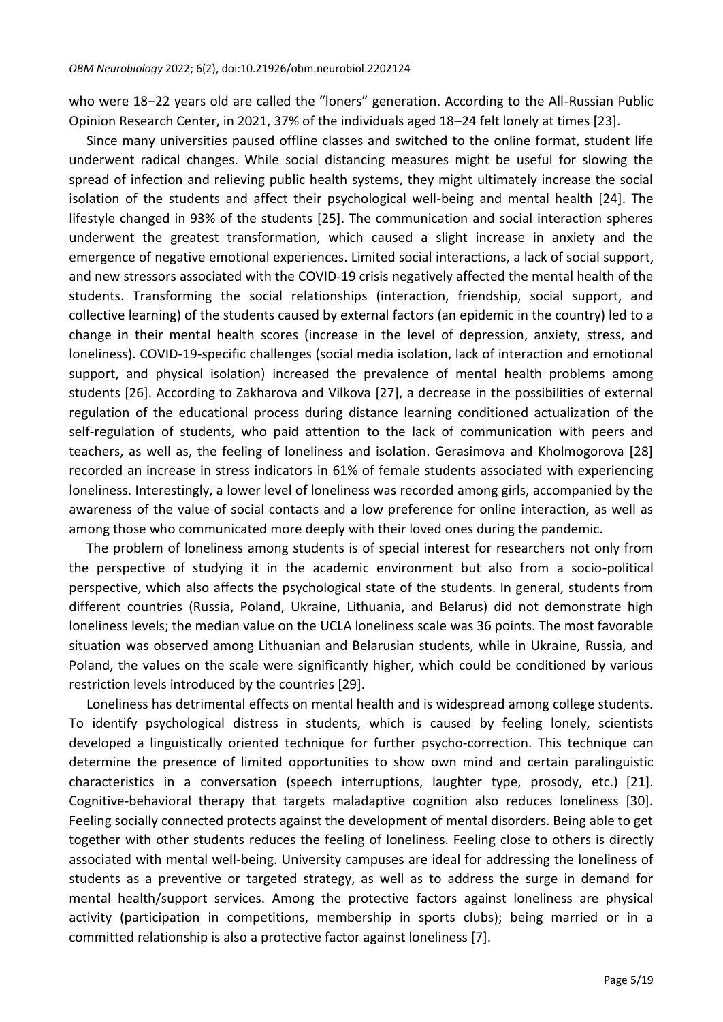who were 18–22 years old are called the "loners" generation. According to the All-Russian Public Opinion Research Center, in 2021, 37% of the individuals aged 18–24 felt lonely at times [23].

Since many universities paused offline classes and switched to the online format, student life underwent radical changes. While social distancing measures might be useful for slowing the spread of infection and relieving public health systems, they might ultimately increase the social isolation of the students and affect their psychological well-being and mental health [24]. The lifestyle changed in 93% of the students [25]. The communication and social interaction spheres underwent the greatest transformation, which caused a slight increase in anxiety and the emergence of negative emotional experiences. Limited social interactions, a lack of social support, and new stressors associated with the COVID-19 crisis negatively affected the mental health of the students. Transforming the social relationships (interaction, friendship, social support, and collective learning) of the students caused by external factors (an epidemic in the country) led to a change in their mental health scores (increase in the level of depression, anxiety, stress, and loneliness). COVID-19-specific challenges (social media isolation, lack of interaction and emotional support, and physical isolation) increased the prevalence of mental health problems among students [26]. According to Zakharova and Vilkova [27], a decrease in the possibilities of external regulation of the educational process during distance learning conditioned actualization of the self-regulation of students, who paid attention to the lack of communication with peers and teachers, as well as, the feeling of loneliness and isolation. Gerasimova and Kholmogorova [28] recorded an increase in stress indicators in 61% of female students associated with experiencing loneliness. Interestingly, a lower level of loneliness was recorded among girls, accompanied by the awareness of the value of social contacts and a low preference for online interaction, as well as among those who communicated more deeply with their loved ones during the pandemic.

The problem of loneliness among students is of special interest for researchers not only from the perspective of studying it in the academic environment but also from a socio-political perspective, which also affects the psychological state of the students. In general, students from different countries (Russia, Poland, Ukraine, Lithuania, and Belarus) did not demonstrate high loneliness levels; the median value on the UCLA loneliness scale was 36 points. The most favorable situation was observed among Lithuanian and Belarusian students, while in Ukraine, Russia, and Poland, the values on the scale were significantly higher, which could be conditioned by various restriction levels introduced by the countries [29].

Loneliness has detrimental effects on mental health and is widespread among college students. To identify psychological distress in students, which is caused by feeling lonely, scientists developed a linguistically oriented technique for further psycho-correction. This technique can determine the presence of limited opportunities to show own mind and certain paralinguistic characteristics in a conversation (speech interruptions, laughter type, prosody, etc.) [21]. Cognitive-behavioral therapy that targets maladaptive cognition also reduces loneliness [30]. Feeling socially connected protects against the development of mental disorders. Being able to get together with other students reduces the feeling of loneliness. Feeling close to others is directly associated with mental well-being. University campuses are ideal for addressing the loneliness of students as a preventive or targeted strategy, as well as to address the surge in demand for mental health/support services. Among the protective factors against loneliness are physical activity (participation in competitions, membership in sports clubs); being married or in a committed relationship is also a protective factor against loneliness [7].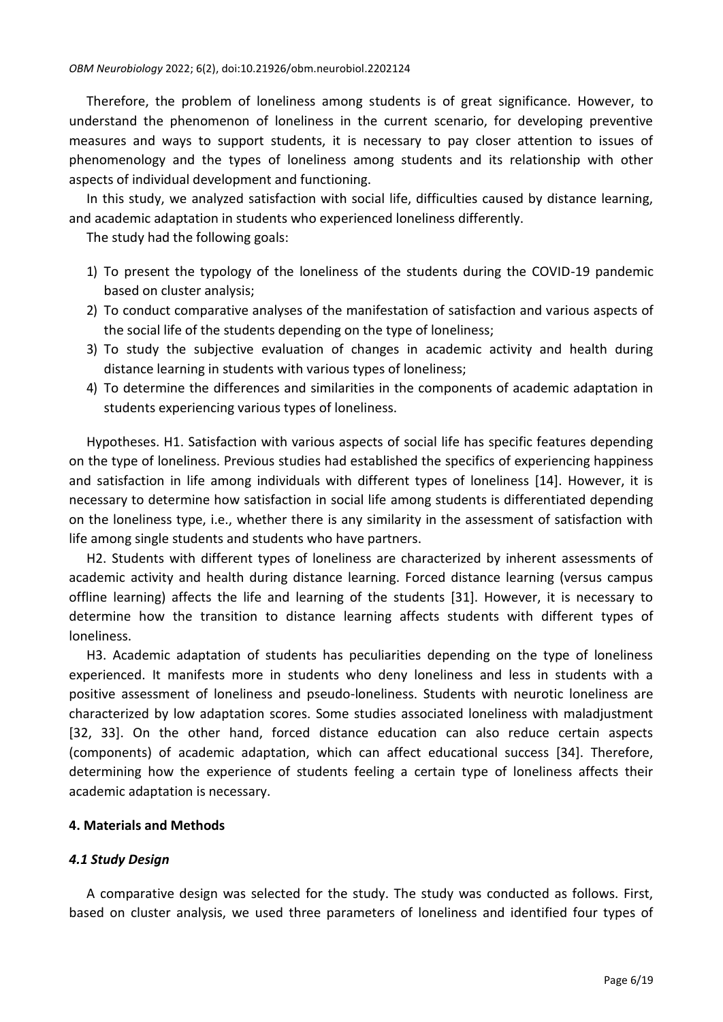Therefore, the problem of loneliness among students is of great significance. However, to understand the phenomenon of loneliness in the current scenario, for developing preventive measures and ways to support students, it is necessary to pay closer attention to issues of phenomenology and the types of loneliness among students and its relationship with other aspects of individual development and functioning.

In this study, we analyzed satisfaction with social life, difficulties caused by distance learning, and academic adaptation in students who experienced loneliness differently.

The study had the following goals:

- 1) To present the typology of the loneliness of the students during the COVID-19 pandemic based on cluster analysis;
- 2) To conduct comparative analyses of the manifestation of satisfaction and various aspects of the social life of the students depending on the type of loneliness;
- 3) To study the subjective evaluation of changes in academic activity and health during distance learning in students with various types of loneliness;
- 4) To determine the differences and similarities in the components of academic adaptation in students experiencing various types of loneliness.

Hypotheses. H1. Satisfaction with various aspects of social life has specific features depending on the type of loneliness. Previous studies had established the specifics of experiencing happiness and satisfaction in life among individuals with different types of loneliness [14]. However, it is necessary to determine how satisfaction in social life among students is differentiated depending on the loneliness type, i.e., whether there is any similarity in the assessment of satisfaction with life among single students and students who have partners.

Н2. Students with different types of loneliness are characterized by inherent assessments of academic activity and health during distance learning. Forced distance learning (versus campus offline learning) affects the life and learning of the students [31]. However, it is necessary to determine how the transition to distance learning affects students with different types of loneliness.

Н3. Academic adaptation of students has peculiarities depending on the type of loneliness experienced. It manifests more in students who deny loneliness and less in students with a positive assessment of loneliness and pseudo-loneliness. Students with neurotic loneliness are characterized by low adaptation scores. Some studies associated loneliness with maladjustment [32, 33]. On the other hand, forced distance education can also reduce certain aspects (components) of academic adaptation, which can affect educational success [34]. Therefore, determining how the experience of students feeling a certain type of loneliness affects their academic adaptation is necessary.

# **4. Materials and Methods**

# *4.1 Study Design*

A comparative design was selected for the study. The study was conducted as follows. First, based on cluster analysis, we used three parameters of loneliness and identified four types of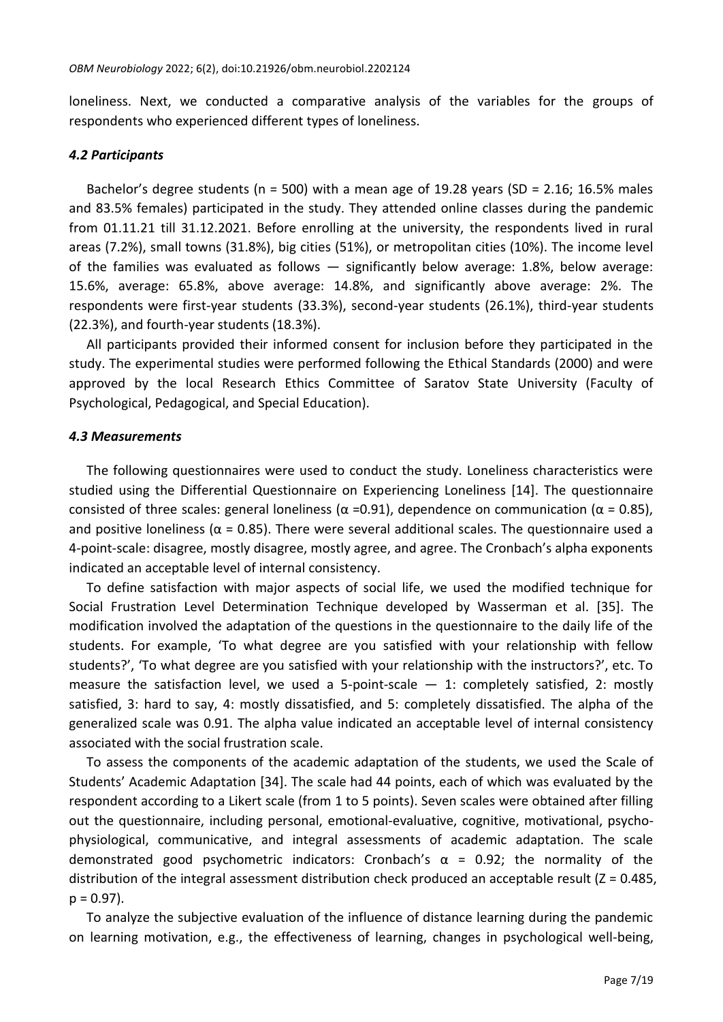loneliness. Next, we conducted a comparative analysis of the variables for the groups of respondents who experienced different types of loneliness.

#### *4.2 Participants*

Bachelor's degree students ( $n = 500$ ) with a mean age of 19.28 years ( $SD = 2.16$ ; 16.5% males and 83.5% females) participated in the study. They attended online classes during the pandemic from 01.11.21 till 31.12.2021. Before enrolling at the university, the respondents lived in rural areas (7.2%), small towns (31.8%), big cities (51%), or metropolitan cities (10%). The income level of the families was evaluated as follows — significantly below average: 1.8%, below average: 15.6%, average: 65.8%, above average: 14.8%, and significantly above average: 2%. The respondents were first-year students (33.3%), second-year students (26.1%), third-year students (22.3%), and fourth-year students (18.3%).

All participants provided their informed consent for inclusion before they participated in the study. The experimental studies were performed following the Ethical Standards (2000) and were approved by the local Research Ethics Committee of Saratov State University (Faculty of Psychological, Pedagogical, and Special Education).

#### *4.3 Measurements*

The following questionnaires were used to conduct the study. Loneliness characteristics were studied using the Differential Questionnaire on Experiencing Loneliness [14]. The questionnaire consisted of three scales: general loneliness ( $\alpha$  =0.91), dependence on communication ( $\alpha$  = 0.85), and positive loneliness ( $\alpha$  = 0.85). There were several additional scales. The questionnaire used a 4-point-scale: disagree, mostly disagree, mostly agree, and agree. The Cronbach's alpha exponents indicated an acceptable level of internal consistency.

To define satisfaction with major aspects of social life, we used the modified technique for Social Frustration Level Determination Technique developed by Wasserman et al. [35]. The modification involved the adaptation of the questions in the questionnaire to the daily life of the students. For example, 'To what degree are you satisfied with your relationship with fellow students?', 'To what degree are you satisfied with your relationship with the instructors?', etc. To measure the satisfaction level, we used a 5-point-scale  $-$  1: completely satisfied, 2: mostly satisfied, 3: hard to say, 4: mostly dissatisfied, and 5: completely dissatisfied. The alpha of the generalized scale was 0.91. The alpha value indicated an acceptable level of internal consistency associated with the social frustration scale.

To assess the components of the academic adaptation of the students, we used the Scale of Students' Academic Adaptation [34]. The scale had 44 points, each of which was evaluated by the respondent according to a Likert scale (from 1 to 5 points). Seven scales were obtained after filling out the questionnaire, including personal, emotional-evaluative, cognitive, motivational, psychophysiological, communicative, and integral assessments of academic adaptation. The scale demonstrated good psychometric indicators: Cronbach's  $\alpha$  = 0.92; the normality of the distribution of the integral assessment distribution check produced an acceptable result (Z = 0.485,  $p = 0.97$ ).

To analyze the subjective evaluation of the influence of distance learning during the pandemic on learning motivation, e.g., the effectiveness of learning, changes in psychological well-being,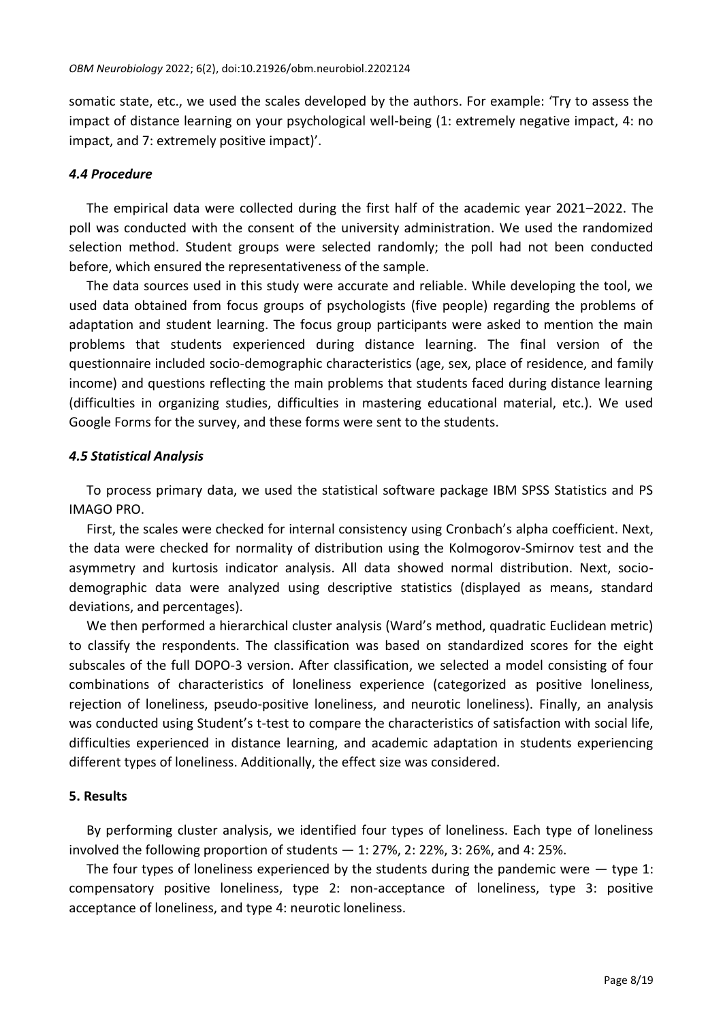somatic state, etc., we used the scales developed by the authors. For example: 'Try to assess the impact of distance learning on your psychological well-being (1: extremely negative impact, 4: no impact, and 7: extremely positive impact)'.

## *4.4 Procedure*

The empirical data were collected during the first half of the academic year 2021–2022. The poll was conducted with the consent of the university administration. We used the randomized selection method. Student groups were selected randomly; the poll had not been conducted before, which ensured the representativeness of the sample.

The data sources used in this study were accurate and reliable. While developing the tool, we used data obtained from focus groups of psychologists (five people) regarding the problems of adaptation and student learning. The focus group participants were asked to mention the main problems that students experienced during distance learning. The final version of the questionnaire included socio-demographic characteristics (age, sex, place of residence, and family income) and questions reflecting the main problems that students faced during distance learning (difficulties in organizing studies, difficulties in mastering educational material, etc.). We used Google Forms for the survey, and these forms were sent to the students.

### *4.5 Statistical Analysis*

To process primary data, we used the statistical software package IBM SPSS Statistics and PS IMAGO PRO.

First, the scales were checked for internal consistency using Cronbach's alpha coefficient. Next, the data were checked for normality of distribution using the Kolmogorov-Smirnov test and the asymmetry and kurtosis indicator analysis. All data showed normal distribution. Next, sociodemographic data were analyzed using descriptive statistics (displayed as means, standard deviations, and percentages).

We then performed a hierarchical cluster analysis (Ward's method, quadratic Euclidean metric) to classify the respondents. The classification was based on standardized scores for the eight subscales of the full DOPO-3 version. After classification, we selected a model consisting of four combinations of characteristics of loneliness experience (categorized as positive loneliness, rejection of loneliness, pseudo-positive loneliness, and neurotic loneliness). Finally, an analysis was conducted using Student's t-test to compare the characteristics of satisfaction with social life, difficulties experienced in distance learning, and academic adaptation in students experiencing different types of loneliness. Additionally, the effect size was considered.

#### **5. Results**

By performing cluster analysis, we identified four types of loneliness. Each type of loneliness involved the following proportion of students — 1: 27%, 2: 22%, 3: 26%, and 4: 25%.

The four types of loneliness experienced by the students during the pandemic were  $-$  type 1: compensatory positive loneliness, type 2: non-acceptance of loneliness, type 3: positive acceptance of loneliness, and type 4: neurotic loneliness.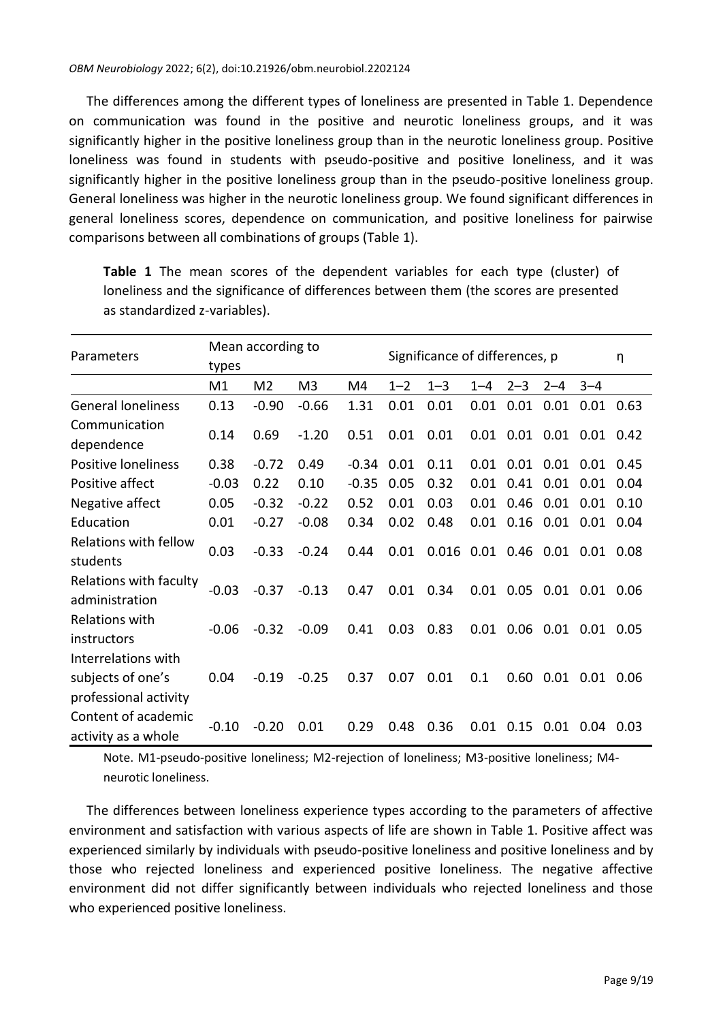The differences among the different types of loneliness are presented in Table 1. Dependence on communication was found in the positive and neurotic loneliness groups, and it was significantly higher in the positive loneliness group than in the neurotic loneliness group. Positive loneliness was found in students with pseudo-positive and positive loneliness, and it was significantly higher in the positive loneliness group than in the pseudo-positive loneliness group. General loneliness was higher in the neurotic loneliness group. We found significant differences in general loneliness scores, dependence on communication, and positive loneliness for pairwise comparisons between all combinations of groups (Table 1).

| Parameters                                                        | Mean according to<br>types |                |                |         |         | Significance of differences, p |         |         |                     |               |      |  |
|-------------------------------------------------------------------|----------------------------|----------------|----------------|---------|---------|--------------------------------|---------|---------|---------------------|---------------|------|--|
|                                                                   | M1                         | M <sub>2</sub> | M <sub>3</sub> | M4      | $1 - 2$ | $1 - 3$                        | $1 - 4$ | $2 - 3$ | $2 - 4$             | $3 - 4$       |      |  |
| <b>General loneliness</b>                                         | 0.13                       | $-0.90$        | $-0.66$        | 1.31    | 0.01    | 0.01                           | 0.01    | 0.01    | 0.01                | 0.01          | 0.63 |  |
| Communication<br>dependence                                       | 0.14                       | 0.69           | $-1.20$        | 0.51    | 0.01    | 0.01                           | 0.01    | 0.01    | 0.01                | $0.01$ $0.42$ |      |  |
| Positive loneliness                                               | 0.38                       | $-0.72$        | 0.49           | $-0.34$ | 0.01    | 0.11                           | 0.01    | 0.01    | 0.01                | 0.01          | 0.45 |  |
| Positive affect                                                   | $-0.03$                    | 0.22           | 0.10           | $-0.35$ | 0.05    | 0.32                           | 0.01    | 0.41    | 0.01                | 0.01          | 0.04 |  |
| Negative affect                                                   | 0.05                       | $-0.32$        | $-0.22$        | 0.52    | 0.01    | 0.03                           | 0.01    | 0.46    | 0.01                | 0.01          | 0.10 |  |
| Education                                                         | 0.01                       | $-0.27$        | $-0.08$        | 0.34    | 0.02    | 0.48                           | 0.01    | 0.16    | 0.01                | 0.01          | 0.04 |  |
| Relations with fellow<br>students                                 | 0.03                       | $-0.33$        | $-0.24$        | 0.44    | 0.01    | $0.016$ $0.01$ $0.46$ $0.01$   |         |         |                     | $0.01$ 0.08   |      |  |
| Relations with faculty<br>administration                          | $-0.03$                    | $-0.37$        | $-0.13$        | 0.47    | 0.01    | 0.34                           | 0.01    | 0.05    | 0.01                | 0.01          | 0.06 |  |
| Relations with<br>instructors                                     | $-0.06$                    | $-0.32$        | $-0.09$        | 0.41    | 0.03    | 0.83                           | 0.01    |         | 0.06 0.01 0.01 0.05 |               |      |  |
| Interrelations with<br>subjects of one's<br>professional activity | 0.04                       | $-0.19$        | $-0.25$        | 0.37    | 0.07    | 0.01                           | 0.1     | 0.60    | 0.01                | 0.01          | 0.06 |  |
| Content of academic<br>activity as a whole                        | $-0.10$                    | $-0.20$        | 0.01           | 0.29    | 0.48    | 0.36                           | 0.01    | 0.15    | 0.01                | 0.04          | 0.03 |  |

**Table 1** The mean scores of the dependent variables for each type (cluster) of loneliness and the significance of differences between them (the scores are presented as standardized z-variables).

Note. M1-pseudo-positive loneliness; M2-rejection of loneliness; M3-positive loneliness; M4 neurotic loneliness.

The differences between loneliness experience types according to the parameters of affective environment and satisfaction with various aspects of life are shown in Table 1. Positive affect was experienced similarly by individuals with pseudo-positive loneliness and positive loneliness and by those who rejected loneliness and experienced positive loneliness. The negative affective environment did not differ significantly between individuals who rejected loneliness and those who experienced positive loneliness.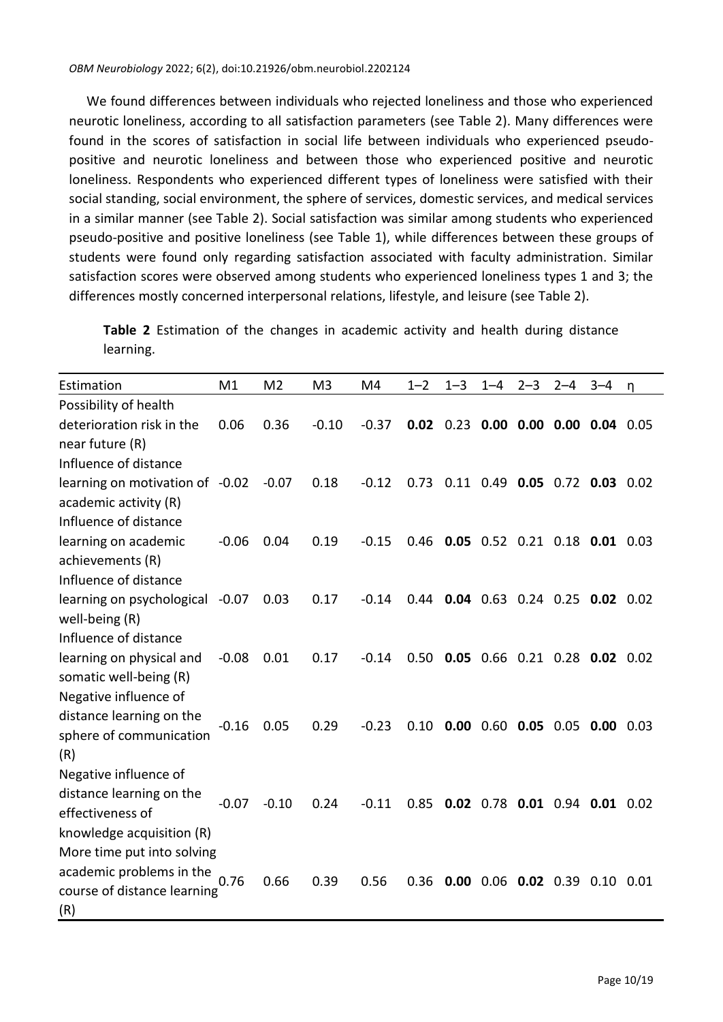We found differences between individuals who rejected loneliness and those who experienced neurotic loneliness, according to all satisfaction parameters (see Table 2). Many differences were found in the scores of satisfaction in social life between individuals who experienced pseudopositive and neurotic loneliness and between those who experienced positive and neurotic loneliness. Respondents who experienced different types of loneliness were satisfied with their social standing, social environment, the sphere of services, domestic services, and medical services in a similar manner (see Table 2). Social satisfaction was similar among students who experienced pseudo-positive and positive loneliness (see Table 1), while differences between these groups of students were found only regarding satisfaction associated with faculty administration. Similar satisfaction scores were observed among students who experienced loneliness types 1 and 3; the differences mostly concerned interpersonal relations, lifestyle, and leisure (see Table 2).

**Table 2** Estimation of the changes in academic activity and health during distance learning.

| Estimation                      | M1      | M <sub>2</sub> | M <sub>3</sub> | M4      | $1 - 2$ | $1 - 3$ | $1 - 4$                         | $2 - 3$ | $2 - 4$ | $3 - 4$ | n    |
|---------------------------------|---------|----------------|----------------|---------|---------|---------|---------------------------------|---------|---------|---------|------|
| Possibility of health           |         |                |                |         |         |         |                                 |         |         |         |      |
| deterioration risk in the       | 0.06    | 0.36           | $-0.10$        | $-0.37$ | 0.02    |         | $0.23$ 0.00 0.00 0.00 0.04 0.05 |         |         |         |      |
| near future (R)                 |         |                |                |         |         |         |                                 |         |         |         |      |
| Influence of distance           |         |                |                |         |         |         |                                 |         |         |         |      |
| learning on motivation of -0.02 |         | $-0.07$        | 0.18           | $-0.12$ | 0.73    |         | 0.11 0.49 0.05 0.72 0.03 0.02   |         |         |         |      |
| academic activity (R)           |         |                |                |         |         |         |                                 |         |         |         |      |
| Influence of distance           |         |                |                |         |         |         |                                 |         |         |         |      |
| learning on academic            | $-0.06$ | 0.04           | 0.19           | $-0.15$ | 0.46    |         | 0.05 0.52 0.21 0.18 0.01 0.03   |         |         |         |      |
| achievements (R)                |         |                |                |         |         |         |                                 |         |         |         |      |
| Influence of distance           |         |                |                |         |         |         |                                 |         |         |         |      |
| learning on psychological       | $-0.07$ | 0.03           | 0.17           | $-0.14$ | 0.44    |         | $0.04$ 0.63 0.24 0.25 0.02 0.02 |         |         |         |      |
| well-being (R)                  |         |                |                |         |         |         |                                 |         |         |         |      |
| Influence of distance           |         |                |                |         |         |         |                                 |         |         |         |      |
| learning on physical and        | $-0.08$ | 0.01           | 0.17           | $-0.14$ | 0.50    |         | 0.05 0.66 0.21 0.28 0.02 0.02   |         |         |         |      |
| somatic well-being (R)          |         |                |                |         |         |         |                                 |         |         |         |      |
| Negative influence of           |         |                |                |         |         |         |                                 |         |         |         |      |
| distance learning on the        | $-0.16$ | 0.05           | 0.29           | $-0.23$ | 0.10    |         | 0.00 0.60 0.05 0.05 0.00 0.03   |         |         |         |      |
| sphere of communication         |         |                |                |         |         |         |                                 |         |         |         |      |
| (R)                             |         |                |                |         |         |         |                                 |         |         |         |      |
| Negative influence of           |         |                |                |         |         |         |                                 |         |         |         |      |
| distance learning on the        | $-0.07$ | $-0.10$        | 0.24           | $-0.11$ | 0.85    |         | 0.02 0.78 0.01 0.94 0.01 0.02   |         |         |         |      |
| effectiveness of                |         |                |                |         |         |         |                                 |         |         |         |      |
| knowledge acquisition (R)       |         |                |                |         |         |         |                                 |         |         |         |      |
| More time put into solving      |         |                |                |         |         |         |                                 |         |         |         |      |
| academic problems in the        | 0.76    | 0.66           | 0.39           | 0.56    | 0.36    |         | $0.00$ 0.06 0.02 0.39 0.10      |         |         |         | 0.01 |
| course of distance learning     |         |                |                |         |         |         |                                 |         |         |         |      |
| (R)                             |         |                |                |         |         |         |                                 |         |         |         |      |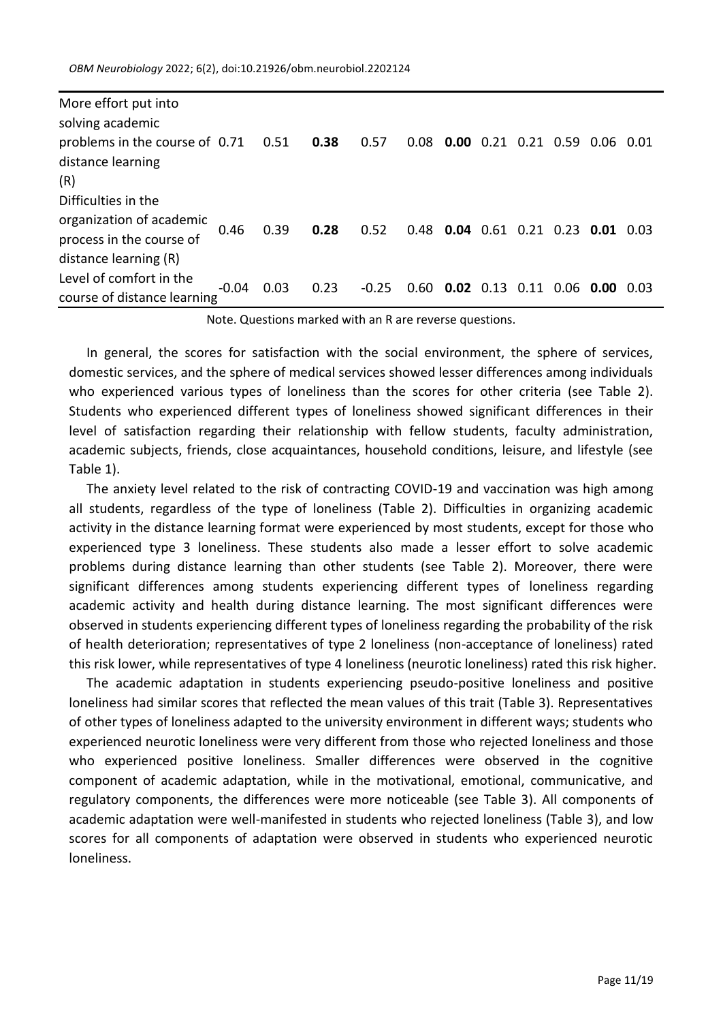*OBM Neurobiology* 2022; 6(2), doi:10.21926/obm.neurobiol.2202124

| More effort put into<br>solving academic                                                             |         |      |      |       |                                    |                       |  |                                 |      |
|------------------------------------------------------------------------------------------------------|---------|------|------|-------|------------------------------------|-----------------------|--|---------------------------------|------|
| problems in the course of 0.71 0.51<br>distance learning<br>(R)                                      |         |      | 0.38 | 0.57  | 0.08                               |                       |  | $0.00$ 0.21 0.21 0.59 0.06 0.01 |      |
| Difficulties in the<br>organization of academic<br>process in the course of<br>distance learning (R) | 0.46    | 0.39 | 0.28 | 0.52  | 0.48 0.04 0.61 0.21 0.23 0.01 0.03 |                       |  |                                 |      |
| Level of comfort in the<br>course of distance learning                                               | $-0.04$ | 0.03 | 0.23 | -0.25 | 0.60                               | $0.02$ 0.13 0.11 0.06 |  | 0.00                            | 0.03 |

Note. Questions marked with an R are reverse questions.

In general, the scores for satisfaction with the social environment, the sphere of services, domestic services, and the sphere of medical services showed lesser differences among individuals who experienced various types of loneliness than the scores for other criteria (see Table 2). Students who experienced different types of loneliness showed significant differences in their level of satisfaction regarding their relationship with fellow students, faculty administration, academic subjects, friends, close acquaintances, household conditions, leisure, and lifestyle (see Table 1).

The anxiety level related to the risk of contracting COVID-19 and vaccination was high among all students, regardless of the type of loneliness (Table 2). Difficulties in organizing academic activity in the distance learning format were experienced by most students, except for those who experienced type 3 loneliness. These students also made a lesser effort to solve academic problems during distance learning than other students (see Table 2). Moreover, there were significant differences among students experiencing different types of loneliness regarding academic activity and health during distance learning. The most significant differences were observed in students experiencing different types of loneliness regarding the probability of the risk of health deterioration; representatives of type 2 loneliness (non-acceptance of loneliness) rated this risk lower, while representatives of type 4 loneliness (neurotic loneliness) rated this risk higher.

The academic adaptation in students experiencing pseudo-positive loneliness and positive loneliness had similar scores that reflected the mean values of this trait (Table 3). Representatives of other types of loneliness adapted to the university environment in different ways; students who experienced neurotic loneliness were very different from those who rejected loneliness and those who experienced positive loneliness. Smaller differences were observed in the cognitive component of academic adaptation, while in the motivational, emotional, communicative, and regulatory components, the differences were more noticeable (see Table 3). All components of academic adaptation were well-manifested in students who rejected loneliness (Table 3), and low scores for all components of adaptation were observed in students who experienced neurotic loneliness.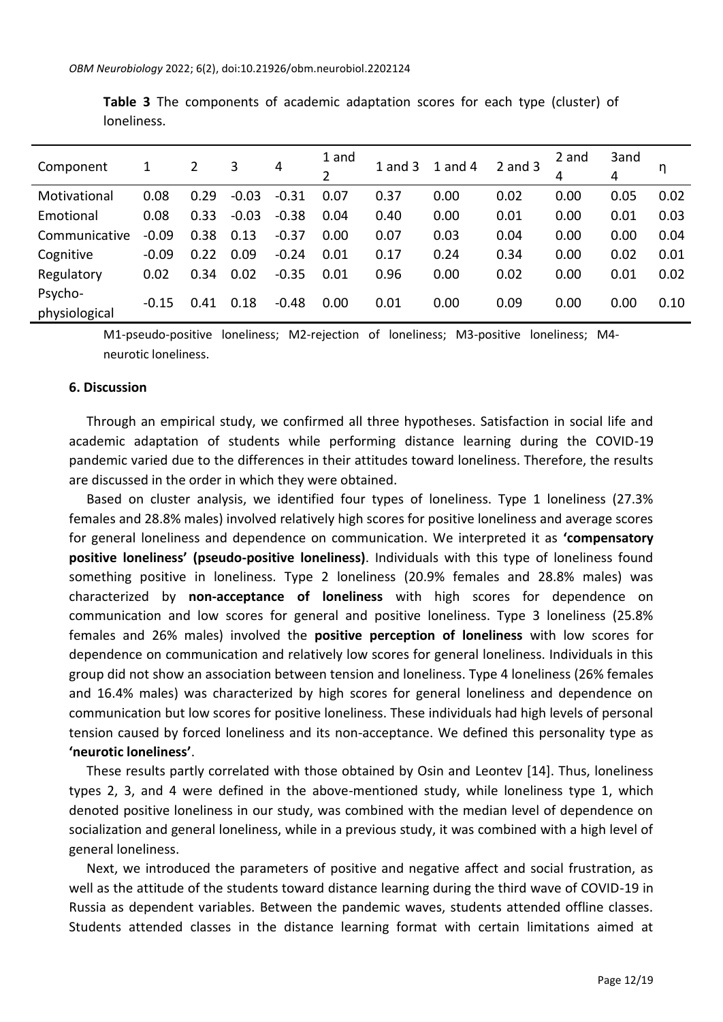| Component                | 1       | 2    | 3       | 4       | 1 and<br>2 | $1$ and $3$ | 1 and 4 | $2$ and $3$ | 2 and<br>4 | 3and<br>4 | η    |
|--------------------------|---------|------|---------|---------|------------|-------------|---------|-------------|------------|-----------|------|
| Motivational             | 0.08    | 0.29 | $-0.03$ | $-0.31$ | 0.07       | 0.37        | 0.00    | 0.02        | 0.00       | 0.05      | 0.02 |
| Emotional                | 0.08    | 0.33 | $-0.03$ | $-0.38$ | 0.04       | 0.40        | 0.00    | 0.01        | 0.00       | 0.01      | 0.03 |
| Communicative            | $-0.09$ | 0.38 | 0.13    | $-0.37$ | 0.00       | 0.07        | 0.03    | 0.04        | 0.00       | 0.00      | 0.04 |
| Cognitive                | $-0.09$ | 0.22 | 0.09    | $-0.24$ | 0.01       | 0.17        | 0.24    | 0.34        | 0.00       | 0.02      | 0.01 |
| Regulatory               | 0.02    | 0.34 | 0.02    | $-0.35$ | 0.01       | 0.96        | 0.00    | 0.02        | 0.00       | 0.01      | 0.02 |
| Psycho-<br>physiological | $-0.15$ | 0.41 | 0.18    | $-0.48$ | 0.00       | 0.01        | 0.00    | 0.09        | 0.00       | 0.00      | 0.10 |

**Table 3** The components of academic adaptation scores for each type (cluster) of loneliness.

M1-pseudo-positive loneliness; M2-rejection of loneliness; M3-positive loneliness; M4 neurotic loneliness.

#### **6. Discussion**

Through an empirical study, we confirmed all three hypotheses. Satisfaction in social life and academic adaptation of students while performing distance learning during the COVID-19 pandemic varied due to the differences in their attitudes toward loneliness. Therefore, the results are discussed in the order in which they were obtained.

Based on cluster analysis, we identified four types of loneliness. Type 1 loneliness (27.3% females and 28.8% males) involved relatively high scores for positive loneliness and average scores for general loneliness and dependence on communication. We interpreted it as **'compensatory positive loneliness' (pseudo-positive loneliness)**. Individuals with this type of loneliness found something positive in loneliness. Type 2 loneliness (20.9% females and 28.8% males) was characterized by **non-acceptance of loneliness** with high scores for dependence on communication and low scores for general and positive loneliness. Type 3 loneliness (25.8% females and 26% males) involved the **positive perception of loneliness** with low scores for dependence on communication and relatively low scores for general loneliness. Individuals in this group did not show an association between tension and loneliness. Type 4 loneliness (26% females and 16.4% males) was characterized by high scores for general loneliness and dependence on communication but low scores for positive loneliness. These individuals had high levels of personal tension caused by forced loneliness and its non-acceptance. We defined this personality type as **'neurotic loneliness'**.

These results partly correlated with those obtained by Osin and Leontev [14]. Thus, loneliness types 2, 3, and 4 were defined in the above-mentioned study, while loneliness type 1, which denoted positive loneliness in our study, was combined with the median level of dependence on socialization and general loneliness, while in a previous study, it was combined with a high level of general loneliness.

Next, we introduced the parameters of positive and negative affect and social frustration, as well as the attitude of the students toward distance learning during the third wave of COVID-19 in Russia as dependent variables. Between the pandemic waves, students attended offline classes. Students attended classes in the distance learning format with certain limitations aimed at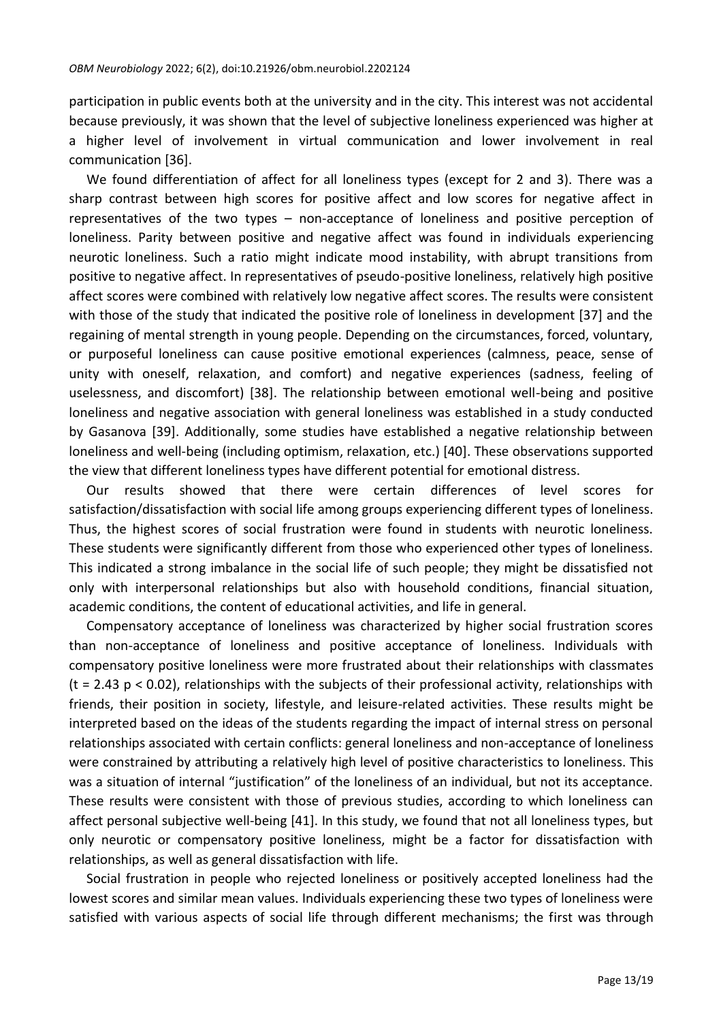participation in public events both at the university and in the city. This interest was not accidental because previously, it was shown that the level of subjective loneliness experienced was higher at a higher level of involvement in virtual communication and lower involvement in real communication [36].

We found differentiation of affect for all loneliness types (except for 2 and 3). There was a sharp contrast between high scores for positive affect and low scores for negative affect in representatives of the two types – non-acceptance of loneliness and positive perception of loneliness. Parity between positive and negative affect was found in individuals experiencing neurotic loneliness. Such a ratio might indicate mood instability, with abrupt transitions from positive to negative affect. In representatives of pseudo-positive loneliness, relatively high positive affect scores were combined with relatively low negative affect scores. The results were consistent with those of the study that indicated the positive role of loneliness in development [37] and the regaining of mental strength in young people. Depending on the circumstances, forced, voluntary, or purposeful loneliness can cause positive emotional experiences (calmness, peace, sense of unity with oneself, relaxation, and comfort) and negative experiences (sadness, feeling of uselessness, and discomfort) [38]. The relationship between emotional well-being and positive loneliness and negative association with general loneliness was established in a study conducted by Gasanova [39]. Additionally, some studies have established a negative relationship between loneliness and well-being (including optimism, relaxation, etc.) [40]. These observations supported the view that different loneliness types have different potential for emotional distress.

Our results showed that there were certain differences of level scores for satisfaction/dissatisfaction with social life among groups experiencing different types of loneliness. Thus, the highest scores of social frustration were found in students with neurotic loneliness. These students were significantly different from those who experienced other types of loneliness. This indicated a strong imbalance in the social life of such people; they might be dissatisfied not only with interpersonal relationships but also with household conditions, financial situation, academic conditions, the content of educational activities, and life in general.

Compensatory acceptance of loneliness was characterized by higher social frustration scores than non-acceptance of loneliness and positive acceptance of loneliness. Individuals with compensatory positive loneliness were more frustrated about their relationships with classmates  $(t = 2.43 \text{ p} < 0.02)$ , relationships with the subjects of their professional activity, relationships with friends, their position in society, lifestyle, and leisure-related activities. These results might be interpreted based on the ideas of the students regarding the impact of internal stress on personal relationships associated with certain conflicts: general loneliness and non-acceptance of loneliness were constrained by attributing a relatively high level of positive characteristics to loneliness. This was a situation of internal "justification" of the loneliness of an individual, but not its acceptance. These results were consistent with those of previous studies, according to which loneliness can affect personal subjective well-being [41]. In this study, we found that not all loneliness types, but only neurotic or compensatory positive loneliness, might be a factor for dissatisfaction with relationships, as well as general dissatisfaction with life.

Social frustration in people who rejected loneliness or positively accepted loneliness had the lowest scores and similar mean values. Individuals experiencing these two types of loneliness were satisfied with various aspects of social life through different mechanisms; the first was through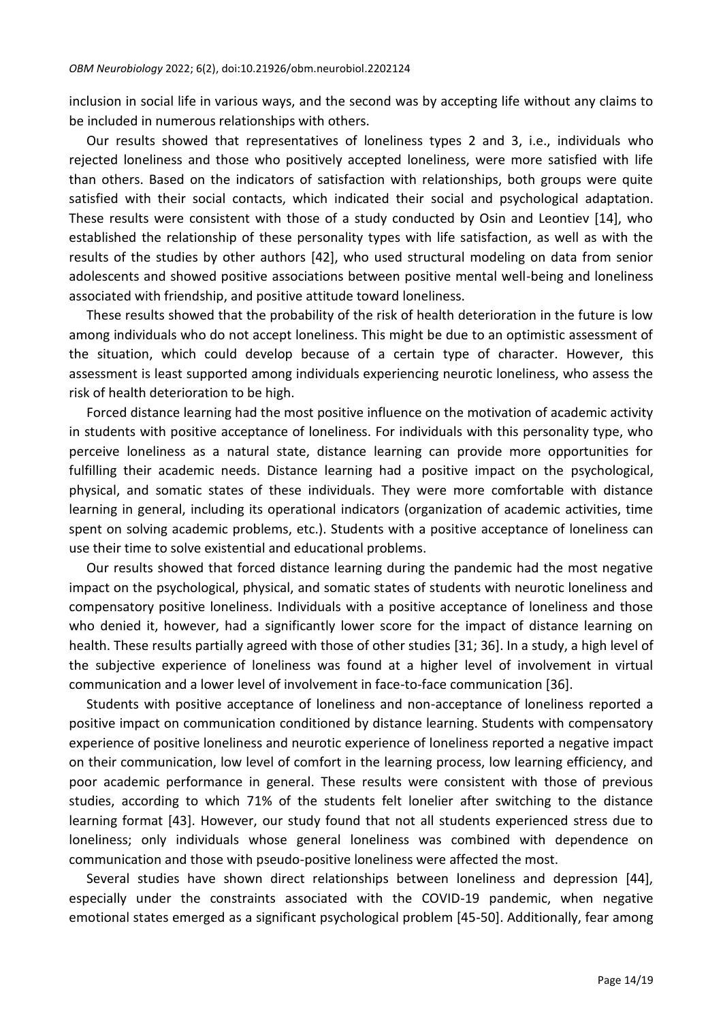inclusion in social life in various ways, and the second was by accepting life without any claims to be included in numerous relationships with others.

Our results showed that representatives of loneliness types 2 and 3, i.e., individuals who rejected loneliness and those who positively accepted loneliness, were more satisfied with life than others. Based on the indicators of satisfaction with relationships, both groups were quite satisfied with their social contacts, which indicated their social and psychological adaptation. These results were consistent with those of a study conducted by Osin and Leontiev [14], who established the relationship of these personality types with life satisfaction, as well as with the results of the studies by other authors [42], who used structural modeling on data from senior adolescents and showed positive associations between positive mental well-being and loneliness associated with friendship, and positive attitude toward loneliness.

These results showed that the probability of the risk of health deterioration in the future is low among individuals who do not accept loneliness. This might be due to an optimistic assessment of the situation, which could develop because of a certain type of character. However, this assessment is least supported among individuals experiencing neurotic loneliness, who assess the risk of health deterioration to be high.

Forced distance learning had the most positive influence on the motivation of academic activity in students with positive acceptance of loneliness. For individuals with this personality type, who perceive loneliness as a natural state, distance learning can provide more opportunities for fulfilling their academic needs. Distance learning had a positive impact on the psychological, physical, and somatic states of these individuals. They were more comfortable with distance learning in general, including its operational indicators (organization of academic activities, time spent on solving academic problems, etc.). Students with a positive acceptance of loneliness can use their time to solve existential and educational problems.

Our results showed that forced distance learning during the pandemic had the most negative impact on the psychological, physical, and somatic states of students with neurotic loneliness and compensatory positive loneliness. Individuals with a positive acceptance of loneliness and those who denied it, however, had a significantly lower score for the impact of distance learning on health. These results partially agreed with those of other studies [31; 36]. In a study, a high level of the subjective experience of loneliness was found at a higher level of involvement in virtual communication and a lower level of involvement in face-to-face communication [36].

Students with positive acceptance of loneliness and non-acceptance of loneliness reported a positive impact on communication conditioned by distance learning. Students with compensatory experience of positive loneliness and neurotic experience of loneliness reported a negative impact on their communication, low level of comfort in the learning process, low learning efficiency, and poor academic performance in general. These results were consistent with those of previous studies, according to which 71% of the students felt lonelier after switching to the distance learning format [43]. However, our study found that not all students experienced stress due to loneliness; only individuals whose general loneliness was combined with dependence on communication and those with pseudo-positive loneliness were affected the most.

Several studies have shown direct relationships between loneliness and depression [44], especially under the constraints associated with the COVID-19 pandemic, when negative emotional states emerged as a significant psychological problem [45-50]. Additionally, fear among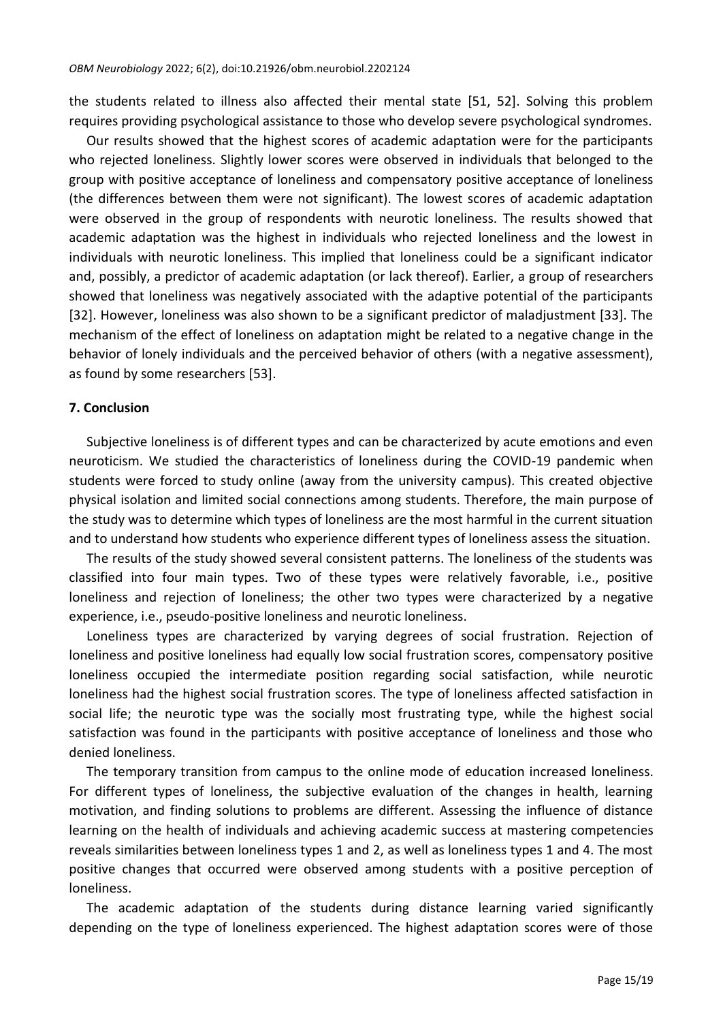the students related to illness also affected their mental state [51, 52]. Solving this problem requires providing psychological assistance to those who develop severe psychological syndromes.

Our results showed that the highest scores of academic adaptation were for the participants who rejected loneliness. Slightly lower scores were observed in individuals that belonged to the group with positive acceptance of loneliness and compensatory positive acceptance of loneliness (the differences between them were not significant). The lowest scores of academic adaptation were observed in the group of respondents with neurotic loneliness. The results showed that academic adaptation was the highest in individuals who rejected loneliness and the lowest in individuals with neurotic loneliness. This implied that loneliness could be a significant indicator and, possibly, a predictor of academic adaptation (or lack thereof). Earlier, a group of researchers showed that loneliness was negatively associated with the adaptive potential of the participants [32]. However, loneliness was also shown to be a significant predictor of maladjustment [33]. The mechanism of the effect of loneliness on adaptation might be related to a negative change in the behavior of lonely individuals and the perceived behavior of others (with a negative assessment), as found by some researchers [53].

#### **7. Conclusion**

Subjective loneliness is of different types and can be characterized by acute emotions and even neuroticism. We studied the characteristics of loneliness during the COVID-19 pandemic when students were forced to study online (away from the university campus). This created objective physical isolation and limited social connections among students. Therefore, the main purpose of the study was to determine which types of loneliness are the most harmful in the current situation and to understand how students who experience different types of loneliness assess the situation.

The results of the study showed several consistent patterns. The loneliness of the students was classified into four main types. Two of these types were relatively favorable, i.e., positive loneliness and rejection of loneliness; the other two types were characterized by a negative experience, i.e., pseudo-positive loneliness and neurotic loneliness.

Loneliness types are characterized by varying degrees of social frustration. Rejection of loneliness and positive loneliness had equally low social frustration scores, compensatory positive loneliness occupied the intermediate position regarding social satisfaction, while neurotic loneliness had the highest social frustration scores. The type of loneliness affected satisfaction in social life; the neurotic type was the socially most frustrating type, while the highest social satisfaction was found in the participants with positive acceptance of loneliness and those who denied loneliness.

The temporary transition from campus to the online mode of education increased loneliness. For different types of loneliness, the subjective evaluation of the changes in health, learning motivation, and finding solutions to problems are different. Assessing the influence of distance learning on the health of individuals and achieving academic success at mastering competencies reveals similarities between loneliness types 1 and 2, as well as loneliness types 1 and 4. The most positive changes that occurred were observed among students with a positive perception of loneliness.

The academic adaptation of the students during distance learning varied significantly depending on the type of loneliness experienced. The highest adaptation scores were of those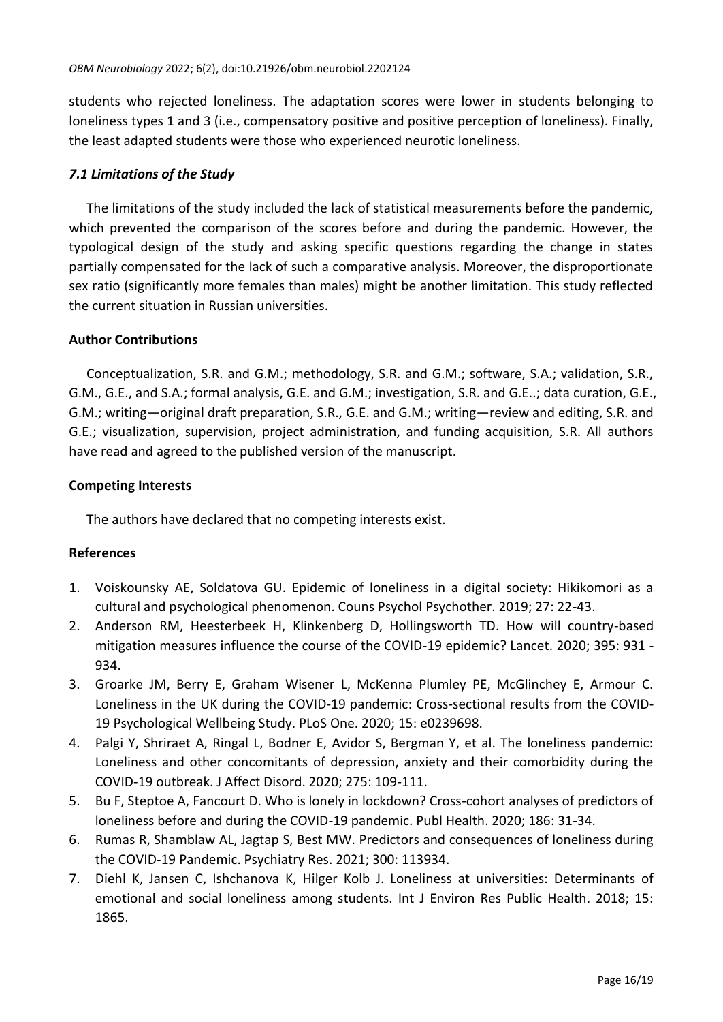students who rejected loneliness. The adaptation scores were lower in students belonging to loneliness types 1 and 3 (i.e., compensatory positive and positive perception of loneliness). Finally, the least adapted students were those who experienced neurotic loneliness.

# *7.1 Limitations of the Study*

The limitations of the study included the lack of statistical measurements before the pandemic, which prevented the comparison of the scores before and during the pandemic. However, the typological design of the study and asking specific questions regarding the change in states partially compensated for the lack of such a comparative analysis. Moreover, the disproportionate sex ratio (significantly more females than males) might be another limitation. This study reflected the current situation in Russian universities.

# **Author Contributions**

Conceptualization, S.R. and G.M.; methodology, S.R. and G.M.; software, S.A.; validation, S.R., G.M., G.E., and S.A.; formal analysis, G.E. and G.M.; investigation, S.R. and G.E..; data curation, G.E., G.M.; writing—original draft preparation, S.R., G.E. and G.M.; writing—review and editing, S.R. and G.E.; visualization, supervision, project administration, and funding acquisition, S.R. All authors have read and agreed to the published version of the manuscript.

# **Competing Interests**

The authors have declared that no competing interests exist.

#### **References**

- 1. Voiskounsky AE, Soldatova GU. Epidemic of loneliness in a digital society: Hikikomori as a cultural and psychological phenomenon. Couns Psychol Psychother. 2019; 27: 22-43.
- 2. Anderson RM, Heesterbeek H, Klinkenberg D, Hollingsworth TD. How will country-based mitigation measures influence the course of the COVID-19 epidemic? Lancet. 2020; 395: 931 - 934.
- 3. Groarke JM, Berry E, Graham Wisener L, McKenna Plumley PE, McGlinchey E, Armour C. Loneliness in the UK during the COVID-19 pandemic: Cross-sectional results from the COVID-19 Psychological Wellbeing Study. PLoS One. 2020; 15: e0239698.
- 4. Palgi Y, Shriraet A, Ringal L, Bodner E, Avidor S, Bergman Y, et al. The loneliness pandemic: Loneliness and other concomitants of depression, anxiety and their comorbidity during the COVID-19 outbreak. J Affect Disord. 2020; 275: 109-111.
- 5. Bu F, Steptoe A, Fancourt D. Who is lonely in lockdown? Cross-cohort analyses of predictors of loneliness before and during the COVID-19 pandemic. Publ Health. 2020; 186: 31-34.
- 6. Rumas R, Shamblaw AL, Jagtap S, Best MW. Predictors and consequences of loneliness during the COVID-19 Pandemic. Psychiatry Res. 2021; 300: 113934.
- 7. Diehl K, Jansen C, Ishchanova K, Hilger Kolb J. Loneliness at universities: Determinants of emotional and social loneliness among students. Int J Environ Res Public Health. 2018; 15: 1865.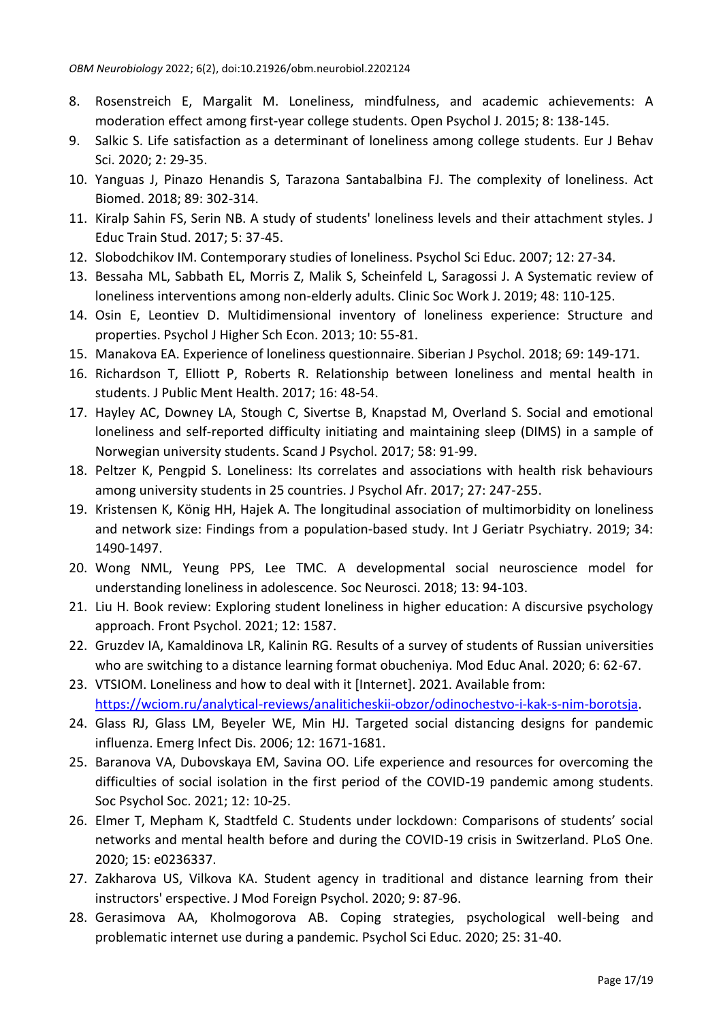- 8. Rosenstreich E, Margalit M. Loneliness, mindfulness, and academic achievements: A moderation effect among first-year college students. Open Psychol J. 2015; 8: 138-145.
- 9. Salkic S. Life satisfaction as a determinant of loneliness among college students. Eur J Behav Sci. 2020; 2: 29-35.
- 10. Yanguas J, Pinazo Henandis S, Tarazona Santabalbina FJ. The complexity of loneliness. Act Biomed. 2018; 89: 302-314.
- 11. Kiralp Sahin FS, Serin NB. A study of students' loneliness levels and their attachment styles. J Educ Train Stud. 2017; 5: 37-45.
- 12. Slobodchikov IM. Contemporary studies of loneliness. Psychol Sci Educ. 2007; 12: 27-34.
- 13. Bessaha ML, Sabbath EL, Morris Z, Malik S, Scheinfeld L, Saragossi J. A Systematic review of loneliness interventions among non-elderly adults. Clinic Soc Work J. 2019; 48: 110-125.
- 14. Osin E, Leontiev D. Multidimensional inventory of loneliness experience: Structure and properties. Psychol J Higher Sch Econ. 2013; 10: 55-81.
- 15. Manakova EA. Experience of loneliness questionnaire. Siberian J Psychol. 2018; 69: 149-171.
- 16. Richardson T, Elliott P, Roberts R. Relationship between loneliness and mental health in students. J Public Ment Health. 2017; 16: 48-54.
- 17. Hayley AC, Downey LA, Stough C, Sivertse B, Knapstad M, Overland S. Social and emotional loneliness and self-reported difficulty initiating and maintaining sleep (DIMS) in a sample of Norwegian university students. Scand J Psychol. 2017; 58: 91-99.
- 18. Peltzer K, Pengpid S. Loneliness: Its correlates and associations with health risk behaviours among university students in 25 countries. J Psychol Afr. 2017; 27: 247-255.
- 19. Kristensen K, König HH, Hajek A. The longitudinal association of multimorbidity on loneliness and network size: Findings from a population-based study. Int J Geriatr Psychiatry. 2019; 34: 1490-1497.
- 20. Wong NML, Yeung PPS, Lee TMC. A developmental social neuroscience model for understanding loneliness in adolescence. Soc Neurosci. 2018; 13: 94-103.
- 21. Liu H. Book review: Exploring student loneliness in higher education: A discursive psychology approach. Front Psychol. 2021; 12: 1587.
- 22. Gruzdev IA, Kamaldinova LR, Kalinin RG. Results of a survey of students of Russian universities who are switching to a distance learning format obucheniya. Mod Educ Anal. 2020; 6: 62-67.
- 23. VTSIOM. Loneliness and how to deal with it [Internet]. 2021. Available from: [https://wciom.ru/analytical-reviews/analiticheskii-obzor/odinochestvo-i-kak-s-nim-borotsja.](https://wciom.ru/analytical-reviews/analiticheskii-obzor/odinochestvo-i-kak-s-nim-borotsja)
- 24. Glass RJ, Glass LM, Beyeler WE, Min HJ. Targeted social distancing designs for pandemic influenza. Emerg Infect Dis. 2006; 12: 1671-1681.
- 25. Baranova VA, Dubovskaya EM, Savina OO. Life experience and resources for overcoming the difficulties of social isolation in the first period of the COVID-19 pandemic among students. Soc Psychol Soc. 2021; 12: 10-25.
- 26. Elmer T, Mepham K, Stadtfeld C. Students under lockdown: Comparisons of students' social networks and mental health before and during the COVID-19 crisis in Switzerland. PLoS One. 2020; 15: e0236337.
- 27. Zakharova US, Vilkova KA. Student agency in traditional and distance learning from their instructors' erspective. J Mod Foreign Psychol. 2020; 9: 87-96.
- 28. Gerasimova AA, Kholmogorova AB. Coping strategies, psychological well-being and problematic internet use during a pandemic. Psychol Sci Educ. 2020; 25: 31-40.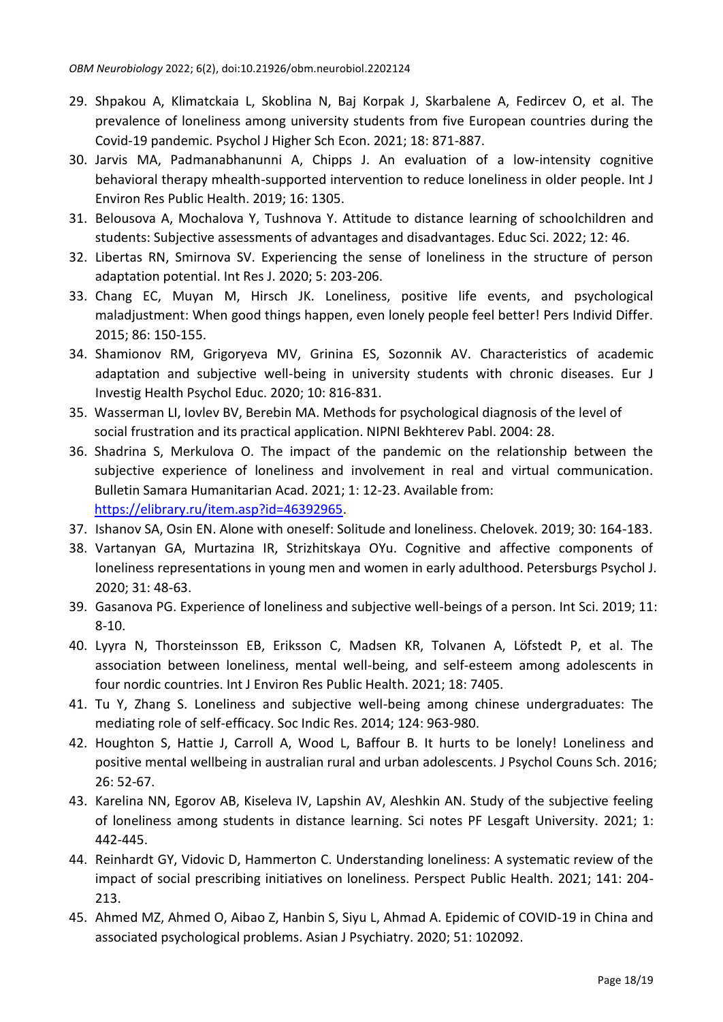- 29. Shpakou A, Klimatckaia L, Skoblina N, Baj Korpak J, Skarbalene A, Fedircev O, et al. The prevalence of loneliness among university students from five European countries during the Covid-19 pandemic. Psychol J Higher Sch Econ. 2021; 18: 871-887.
- 30. Jarvis MA, Padmanabhanunni A, Chipps J. An evaluation of a low-intensity cognitive behavioral therapy mhealth-supported intervention to reduce loneliness in older people. Int J Environ Res Public Health. 2019; 16: 1305.
- 31. Belousova A, Mochalova Y, Tushnova Y. Attitude to distance learning of schoolchildren and students: Subjective assessments of advantages and disadvantages. Educ Sci. 2022; 12: 46.
- 32. Libertas RN, Smirnova SV. Experiencing the sense of loneliness in the structure of person adaptation potential. Int Res J. 2020; 5: 203-206.
- 33. Chang EC, Muyan M, Hirsch JK. Loneliness, positive life events, and psychological maladjustment: When good things happen, even lonely people feel better! Pers Individ Differ. 2015; 86: 150-155.
- 34. Shamionov RM, Grigoryeva MV, Grinina ES, Sozonnik AV. Characteristics of academic adaptation and subjective well-being in university students with chronic diseases. Eur J Investig Health Psychol Educ. 2020; 10: 816-831.
- 35. Wasserman LI, Iovlev BV, Berebin MA. Methods for psychological diagnosis of the level of social frustration and its practical application. NIPNI Bekhterev Pabl. 2004: 28.
- 36. Shadrina S, Merkulova O. The impact of the pandemic on the relationship between the subjective experience of loneliness and involvement in real and virtual communication. Bulletin Samara Humanitarian Acad. 2021; 1: 12-23. Available from: [https://elibrary.ru/item.asp?id=46392965.](https://elibrary.ru/item.asp?id=46392965)
- 37. Ishanov SA, Osin EN. Alone with oneself: Solitude and loneliness. Chelovek. 2019; 30: 164-183.
- 38. Vartanyan GA, Murtazina IR, Strizhitskaya OYu. Cognitive and affective components of loneliness representations in young men and women in early adulthood. Petersburgs Psychol J. 2020; 31: 48-63.
- 39. Gasanova PG. Experience of loneliness and subjective well-beings of a person. Int Sci. 2019; 11: 8-10.
- 40. Lyyra N, Thorsteinsson EB, Eriksson C, Madsen KR, Tolvanen A, Löfstedt P, et al. The association between loneliness, mental well-being, and self-esteem among adolescents in four nordic countries. Int J Environ Res Public Health. 2021; 18: 7405.
- 41. Tu Y, Zhang S. Loneliness and subjective well-being among chinese undergraduates: The mediating role of self-efficacy. Soc Indic Res. 2014; 124: 963-980.
- 42. Houghton S, Hattie J, Carroll A, Wood L, Baffour B. It hurts to be lonely! Loneliness and positive mental wellbeing in australian rural and urban adolescents. J Psychol Couns Sch. 2016; 26: 52-67.
- 43. Karelina NN, Egorov AB, Kiseleva IV, Lapshin AV, Aleshkin AN. Study of the subjective feeling of loneliness among students in distance learning. Sci notes PF Lesgaft University. 2021; 1: 442-445.
- 44. Reinhardt GY, Vidovic D, Hammerton C. Understanding loneliness: A systematic review of the impact of social prescribing initiatives on loneliness. Perspect Public Health. 2021; 141: 204- 213.
- 45. Ahmed MZ, Ahmed O, Aibao Z, Hanbin S, Siyu L, Ahmad A. Epidemic of COVID-19 in China and associated psychological problems. Asian J Psychiatry. 2020; 51: 102092.